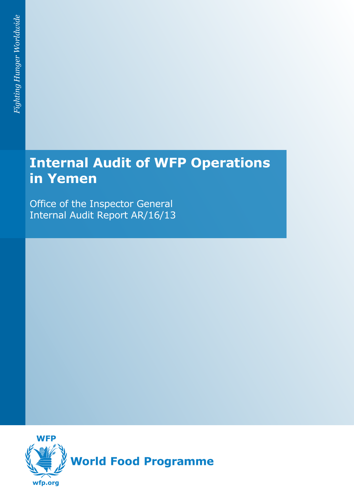# **Internal Audit of WFP Operations in Yemen**

Office of the Inspector General Internal Audit Report AR/16/13

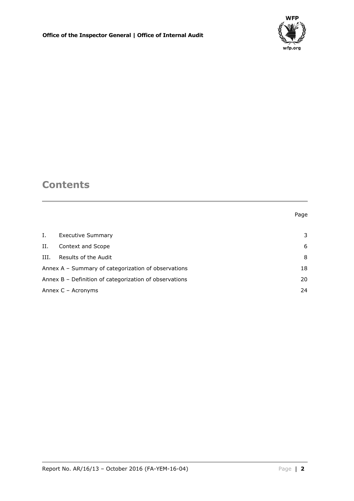

## **Contents**

#### Page

| Ι.                                                  | <b>Executive Summary</b>                               | 3  |  |
|-----------------------------------------------------|--------------------------------------------------------|----|--|
| Н.                                                  | Context and Scope                                      | 6  |  |
| III.                                                | Results of the Audit                                   | 8  |  |
| Annex A - Summary of categorization of observations |                                                        | 18 |  |
|                                                     | Annex B - Definition of categorization of observations |    |  |
| Annex $C -$ Acronyms                                |                                                        | 24 |  |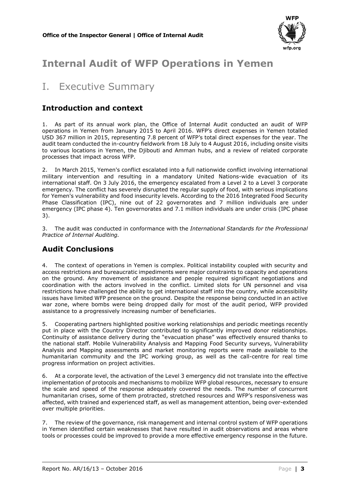

## **Internal Audit of WFP Operations in Yemen**

## <span id="page-2-0"></span>I. Executive Summary

### **Introduction and context**

1. As part of its annual work plan, the Office of Internal Audit conducted an audit of WFP operations in Yemen from January 2015 to April 2016. WFP's direct expenses in Yemen totalled USD 367 million in 2015, representing 7.8 percent of WFP's total direct expenses for the year. The audit team conducted the in-country fieldwork from 18 July to 4 August 2016, including onsite visits to various locations in Yemen, the Djibouti and Amman hubs, and a review of related corporate processes that impact across WFP.

2. In March 2015, Yemen's conflict escalated into a full nationwide conflict involving international military intervention and resulting in a mandatory United Nations-wide evacuation of its international staff. On 3 July 2016, the emergency escalated from a Level 2 to a Level 3 corporate emergency. The conflict has severely disrupted the regular supply of food, with serious implications for Yemen's vulnerability and food insecurity levels. According to the 2016 Integrated Food Security Phase Classification (IPC), nine out of 22 governorates and 7 million individuals are under emergency (IPC phase 4). Ten governorates and 7.1 million individuals are under crisis (IPC phase 3).

3. The audit was conducted in conformance with the *International Standards for the Professional Practice of Internal Auditing.*

### **Audit Conclusions**

4. The context of operations in Yemen is complex. Political instability coupled with security and access restrictions and bureaucratic impediments were major constraints to capacity and operations on the ground. Any movement of assistance and people required significant negotiations and coordination with the actors involved in the conflict. Limited slots for UN personnel and visa restrictions have challenged the ability to get international staff into the country, while accessibility issues have limited WFP presence on the ground. Despite the response being conducted in an active war zone, where bombs were being dropped daily for most of the audit period, WFP provided assistance to a progressively increasing number of beneficiaries.

5. Cooperating partners highlighted positive working relationships and periodic meetings recently put in place with the Country Director contributed to significantly improved donor relationships. Continuity of assistance delivery during the "evacuation phase" was effectively ensured thanks to the national staff. Mobile Vulnerability Analysis and Mapping Food Security surveys, Vulnerability Analysis and Mapping assessments and market monitoring reports were made available to the humanitarian community and the IPC working group, as well as the call-centre for real time progress information on project activities.

6. At a corporate level, the activation of the Level 3 emergency did not translate into the effective implementation of protocols and mechanisms to mobilize WFP global resources, necessary to ensure the scale and speed of the response adequately covered the needs. The number of concurrent humanitarian crises, some of them protracted, stretched resources and WFP's responsiveness was affected, with trained and experienced staff, as well as management attention, being over-extended over multiple priorities.

7. The review of the governance, risk management and internal control system of WFP operations in Yemen identified certain weaknesses that have resulted in audit observations and areas where tools or processes could be improved to provide a more effective emergency response in the future.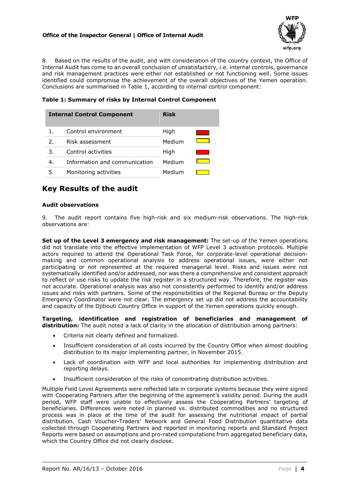#### **Office of the Inspector General | Office of Internal Audit**



8. Based on the results of the audit, and with consideration of the country context, the Office of Internal Audit has come to an overall conclusion of unsatisfactory, i.e. internal controls, governance and risk management practices were either not established or not functioning well. Some issues identified could compromise the achievement of the overall objectives of the Yemen operation. Conclusions are summarised in Table 1, according to internal control component:

**Table 1: Summary of risks by Internal Control Component**

|    | <b>Internal Control Component</b> | <b>Risk</b> |  |
|----|-----------------------------------|-------------|--|
|    | Control environment               | High        |  |
| 2. | Risk assessment                   | Medium      |  |
| 3. | Control activities                | High        |  |
| 4. | Information and communication     | Medium      |  |
| 5. | Monitoring activities             | Medium      |  |

### **Key Results of the audit**

#### **Audit observations**

9. The audit report contains five high-risk and six medium-risk observations. The high-risk observations are:

**Set up of the Level 3 emergency and risk management:** The set-up of the Yemen operations did not translate into the effective implementation of WFP Level 3 activation protocols. Multiple actors required to attend the Operational Task Force, for corporate-level operational decisionmaking and common operational analysis to address operational issues, were either not participating or not represented at the required managerial level. Risks and issues were not systematically identified and/or addressed, nor was there a comprehensive and consistent approach to reflect or use risks to update the risk register in a structured way. Therefore, the register was not accurate. Operational analysis was also not consistently performed to identify and/or address issues and risks with partners. Some of the responsibilities of the Regional Bureau or the Deputy Emergency Coordinator were not clear. The emergency set up did not address the accountability and capacity of the Djibouti Country Office in support of the Yemen operations quickly enough.

**Targeting, identification and registration of beneficiaries and management of distribution:** The audit noted a lack of clarity in the allocation of distribution among partners:

- Criteria not clearly defined and formalized.
- Insufficient consideration of all costs incurred by the Country Office when almost doubling distribution to its major implementing partner, in November 2015.
- Lack of coordination with WFP and local authorities for implementing distribution and reporting delays.
- Insufficient consideration of the risks of concentrating distribution activities.

Multiple Field Level Agreements were reflected late in corporate systems because they were signed with Cooperating Partners after the beginning of the agreement's validity period. During the audit period, WFP staff were unable to effectively assess the Cooperating Partners' targeting of beneficiaries. Differences were noted in planned vs. distributed commodities and no structured process was in place at the time of the audit for assessing the nutritional impact of partial distribution. Cash Voucher-Traders' Network and General Food Distribution quantitative data collected through Cooperating Partners and reported in monitoring reports and Standard Project Reports were based on assumptions and pro-rated computations from aggregated beneficiary data, which the Country Office did not clearly disclose.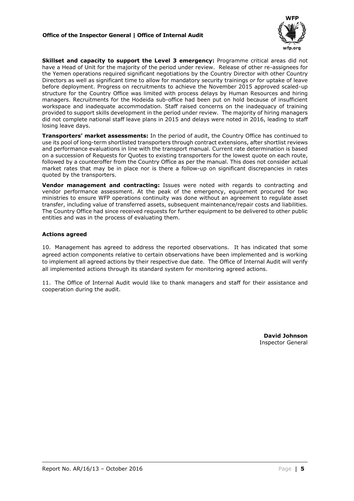#### **Office of the Inspector General | Office of Internal Audit**



Skillset and capacity to support the Level 3 emergency: Programme critical areas did not have a Head of Unit for the majority of the period under review. Release of other re-assignees for the Yemen operations required significant negotiations by the Country Director with other Country Directors as well as significant time to allow for mandatory security trainings or for uptake of leave before deployment. Progress on recruitments to achieve the November 2015 approved scaled-up structure for the Country Office was limited with process delays by Human Resources and hiring managers. Recruitments for the Hodeida sub-office had been put on hold because of insufficient workspace and inadequate accommodation. Staff raised concerns on the inadequacy of training provided to support skills development in the period under review. The majority of hiring managers did not complete national staff leave plans in 2015 and delays were noted in 2016, leading to staff losing leave days.

**Transporters' market assessments:** In the period of audit, the Country Office has continued to use its pool of long-term shortlisted transporters through contract extensions, after shortlist reviews and performance evaluations in line with the transport manual. Current rate determination is based on a succession of Requests for Quotes to existing transporters for the lowest quote on each route, followed by a counteroffer from the Country Office as per the manual. This does not consider actual market rates that may be in place nor is there a follow-up on significant discrepancies in rates quoted by the transporters.

**Vendor management and contracting:** Issues were noted with regards to contracting and vendor performance assessment. At the peak of the emergency, equipment procured for two ministries to ensure WFP operations continuity was done without an agreement to regulate asset transfer, including value of transferred assets, subsequent maintenance/repair costs and liabilities. The Country Office had since received requests for further equipment to be delivered to other public entities and was in the process of evaluating them.

#### **Actions agreed**

10. Management has agreed to address the reported observations. It has indicated that some agreed action components relative to certain observations have been implemented and is working to implement all agreed actions by their respective due date. The Office of Internal Audit will verify all implemented actions through its standard system for monitoring agreed actions.

11. The Office of Internal Audit would like to thank managers and staff for their assistance and cooperation during the audit.

> **David Johnson** Inspector General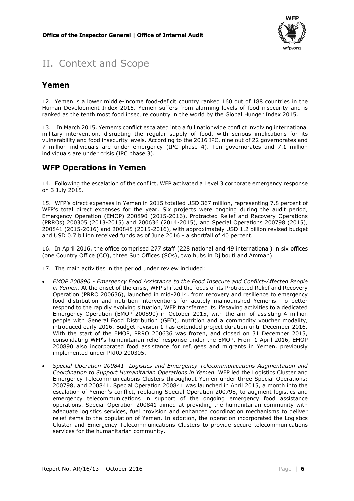

## <span id="page-5-0"></span>II. Context and Scope

### **Yemen**

12. Yemen is a lower middle-income food-deficit country ranked 160 out of 188 countries in the Human Development Index 2015. Yemen suffers from alarming levels of food insecurity and is ranked as the tenth most food insecure country in the world by the Global Hunger Index 2015.

13. In March 2015, Yemen's conflict escalated into a full nationwide conflict involving international military intervention, disrupting the regular supply of food, with serious implications for its vulnerability and food insecurity levels. According to the 2016 IPC, nine out of 22 governorates and 7 million individuals are under emergency (IPC phase 4). Ten governorates and 7.1 million individuals are under crisis (IPC phase 3).

### **WFP Operations in Yemen**

14. Following the escalation of the conflict, WFP activated a Level 3 corporate emergency response on 3 July 2015.

15. WFP's direct expenses in Yemen in 2015 totalled USD 367 million, representing 7.8 percent of WFP's total direct expenses for the year. Six projects were ongoing during the audit period, Emergency Operation (EMOP) 200890 (2015-2016), Protracted Relief and Recovery Operations (PRROs) 200305 (2013-2015) and 200636 (2014-2015), and Special Operations 200798 (2015), 200841 (2015-2016) and 200845 (2015-2016), with approximately USD 1.2 billion revised budget and USD 0.7 billion received funds as of June 2016 - a shortfall of 40 percent.

16. In April 2016, the office comprised 277 staff (228 national and 49 international) in six offices (one Country Office (CO), three Sub Offices (SOs), two hubs in Djibouti and Amman).

17. The main activities in the period under review included:

- *EMOP 200890 - Emergency Food Assistance to the Food Insecure and Conflict-Affected People in Yemen.* At the onset of the crisis, WFP shifted the focus of its Protracted Relief and Recovery Operation (PRRO 200636), launched in mid-2014, from recovery and resilience to emergency food distribution and nutrition interventions for acutely malnourished Yemenis. To better respond to the rapidly evolving situation, WFP transferred its lifesaving activities to a dedicated Emergency Operation (EMOP 200890) in October 2015, with the aim of assisting 4 million people with General Food Distribution (GFD), nutrition and a commodity voucher modality, introduced early 2016. Budget revision 1 has extended project duration until December 2016. With the start of the EMOP, PRRO 200636 was frozen, and closed on 31 December 2015, consolidating WFP's humanitarian relief response under the EMOP. From 1 April 2016, EMOP 200890 also incorporated food assistance for refugees and migrants in Yemen, previously implemented under PRRO 200305.
- *Special Operation 200841- Logistics and Emergency Telecommunications Augmentation and Coordination to Support Humanitarian Operations in Yemen.* WFP led the Logistics Cluster and Emergency Telecommunications Clusters throughout Yemen under three Special Operations: 200798, and 200841. Special Operation 200841 was launched in April 2015, a month into the escalation of Yemen's conflict, replacing Special Operation 200798, to augment logistics and emergency telecommunications in support of the ongoing emergency food assistance operations. Special Operation 200841 aimed at providing the humanitarian community with adequate logistics services, fuel provision and enhanced coordination mechanisms to deliver relief items to the population of Yemen. In addition, the operation incorporated the Logistics Cluster and Emergency Telecommunications Clusters to provide secure telecommunications services for the humanitarian community.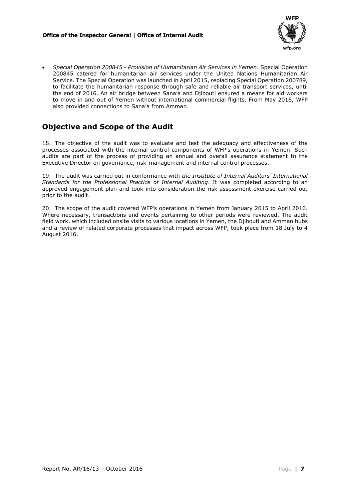

 *Special Operation 200845 - Provision of Humanitarian Air Services in Yemen*. Special Operation 200845 catered for humanitarian air services under the United Nations Humanitarian Air Service. The Special Operation was launched in April 2015, replacing Special Operation 200789, to facilitate the humanitarian response through safe and reliable air transport services, until the end of 2016. An air bridge between Sana'a and Djibouti ensured a means for aid workers to move in and out of Yemen without international commercial flights. From May 2016, WFP also provided connections to Sana'a from Amman.

## **Objective and Scope of the Audit**

18. The objective of the audit was to evaluate and test the adequacy and effectiveness of the processes associated with the internal control components of WFP's operations in Yemen. Such audits are part of the process of providing an annual and overall assurance statement to the Executive Director on governance, risk-management and internal control processes.

19. The audit was carried out in conformance with *the Institute of Internal Auditors' International Standards for the Professional Practice of Internal Auditing*. It was completed according to an approved engagement plan and took into consideration the risk assessment exercise carried out prior to the audit.

20. The scope of the audit covered WFP's operations in Yemen from January 2015 to April 2016. Where necessary, transactions and events pertaining to other periods were reviewed. The audit field work, which included onsite visits to various locations in Yemen, the Djibouti and Amman hubs and a review of related corporate processes that impact across WFP, took place from 18 July to 4 August 2016.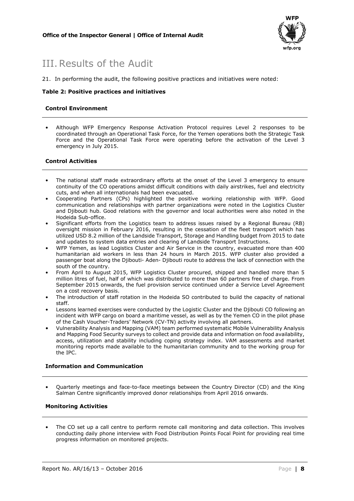

## <span id="page-7-0"></span>III.Results of the Audit

21. In performing the audit, the following positive practices and initiatives were noted:

#### **Table 2: Positive practices and initiatives**

#### **Control Environment**

• Although WFP Emergency Response Activation Protocol requires Level 2 responses to be coordinated through an Operational Task Force, for the Yemen operations both the Strategic Task Force and the Operational Task Force were operating before the activation of the Level 3 emergency in July 2015.

#### **Control Activities**

- The national staff made extraordinary efforts at the onset of the Level 3 emergency to ensure continuity of the CO operations amidst difficult conditions with daily airstrikes, fuel and electricity cuts, and when all internationals had been evacuated.
- Cooperating Partners (CPs) highlighted the positive working relationship with WFP. Good communication and relationships with partner organizations were noted in the Logistics Cluster and Djibouti hub. Good relations with the governor and local authorities were also noted in the Hodeida Sub-office.
- Significant efforts from the Logistics team to address issues raised by a Regional Bureau (RB) oversight mission in February 2016, resulting in the cessation of the fleet transport which has utilized USD 8.2 million of the Landside Transport, Storage and Handling budget from 2015 to date and updates to system data entries and clearing of Landside Transport Instructions.
- WFP Yemen, as lead Logistics Cluster and Air Service in the country, evacuated more than 400 humanitarian aid workers in less than 24 hours in March 2015. WFP cluster also provided a passenger boat along the Djibouti- Aden- Djibouti route to address the lack of connection with the south of the country.
- From April to August 2015, WFP Logistics Cluster procured, shipped and handled more than 5 million litres of fuel, half of which was distributed to more than 60 partners free of charge. From September 2015 onwards, the fuel provision service continued under a Service Level Agreement on a cost recovery basis.
- The introduction of staff rotation in the Hodeida SO contributed to build the capacity of national staff.
- Lessons learned exercises were conducted by the Logistic Cluster and the Djibouti CO following an incident with WFP cargo on board a maritime vessel, as well as by the Yemen CO in the pilot phase of the Cash Voucher-Traders' Network (CV-TN) activity involving all partners.
- Vulnerability Analysis and Mapping (VAM) team performed systematic Mobile Vulnerability Analysis and Mapping Food Security surveys to collect and provide data and information on food availability, access, utilization and stability including coping strategy index. VAM assessments and market monitoring reports made available to the humanitarian community and to the working group for the IPC.

#### **Information and Communication**

• Quarterly meetings and face-to-face meetings between the Country Director (CD) and the King Salman Centre significantly improved donor relationships from April 2016 onwards.

#### **Monitoring Activities**

• The CO set up a call centre to perform remote call monitoring and data collection. This involves conducting daily phone interview with Food Distribution Points Focal Point for providing real time progress information on monitored projects.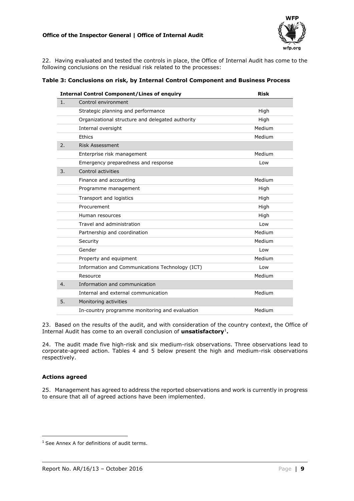#### **Office of the Inspector General | Office of Internal Audit**



22. Having evaluated and tested the controls in place, the Office of Internal Audit has come to the following conclusions on the residual risk related to the processes:

| <b>Internal Control Component/Lines of enquiry</b> | <b>Risk</b> |  |  |
|----------------------------------------------------|-------------|--|--|
| Control environment                                |             |  |  |
| Strategic planning and performance                 | High        |  |  |
| Organizational structure and delegated authority   | High        |  |  |
| Internal oversight                                 | Medium      |  |  |
| Ethics                                             | Medium      |  |  |
| <b>Risk Assessment</b>                             |             |  |  |
| Enterprise risk management                         | Medium      |  |  |
| Emergency preparedness and response                | Low         |  |  |
| Control activities                                 |             |  |  |
| Finance and accounting                             | Medium      |  |  |
| Programme management                               | High        |  |  |
| Transport and logistics                            | High        |  |  |
| Procurement                                        | High        |  |  |
| Human resources                                    | High        |  |  |
| Travel and administration                          | Low         |  |  |
| Partnership and coordination                       | Medium      |  |  |
| Security                                           | Medium      |  |  |
| Gender                                             | Low         |  |  |
| Property and equipment                             | Medium      |  |  |
| Information and Communications Technology (ICT)    | Low         |  |  |
| Resource                                           | Medium      |  |  |
| Information and communication                      |             |  |  |
| Internal and external communication                | Medium      |  |  |
| Monitoring activities                              |             |  |  |
| In-country programme monitoring and evaluation     | Medium      |  |  |
|                                                    |             |  |  |

23. Based on the results of the audit, and with consideration of the country context, the Office of Internal Audit has come to an overall conclusion of **unsatisfactory**<sup>1</sup>.

24. The audit made five high-risk and six medium-risk observations. Three observations lead to corporate-agreed action. Tables 4 and 5 below present the high and medium-risk observations respectively.

#### **Actions agreed**

 $\overline{\phantom{a}}$ 

25. Management has agreed to address the reported observations and work is currently in progress to ensure that all of agreed actions have been implemented.

<sup>&</sup>lt;sup>1</sup> See Annex A for definitions of audit terms.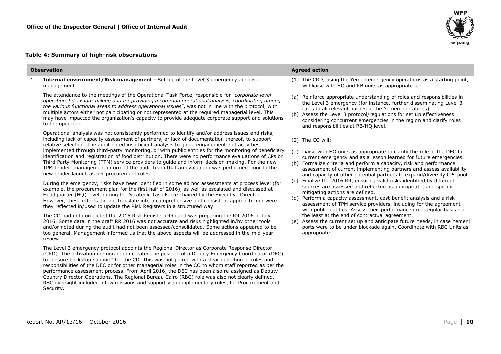### **Table 4: Summary of high-risk observations**

| <b>Observation</b>                                                                                                                                                                                                                                                                                                                                                                                                                                                                                                                                                                                                                                                                                                            | <b>Agreed action</b> |                                                                                                                                                                                                                                                                                                                                                                                                   |  |  |
|-------------------------------------------------------------------------------------------------------------------------------------------------------------------------------------------------------------------------------------------------------------------------------------------------------------------------------------------------------------------------------------------------------------------------------------------------------------------------------------------------------------------------------------------------------------------------------------------------------------------------------------------------------------------------------------------------------------------------------|----------------------|---------------------------------------------------------------------------------------------------------------------------------------------------------------------------------------------------------------------------------------------------------------------------------------------------------------------------------------------------------------------------------------------------|--|--|
| Internal environment/Risk management - Set-up of the Level 3 emergency and risk<br>management.                                                                                                                                                                                                                                                                                                                                                                                                                                                                                                                                                                                                                                |                      | (1) The CRD, using the Yemen emergency operations as a starting point,<br>will liaise with HQ and RB units as appropriate to:                                                                                                                                                                                                                                                                     |  |  |
| The attendance to the meetings of the Operational Task Force, responsible for "corporate-level"<br>operational decision-making and for providing a common operational analysis, coordinating among<br>the various functional areas to address operational issues", was not in line with the protocol, with<br>multiple actors either not participating or not represented at the required managerial level. This<br>may have impacted the organization's capacity to provide adequate corporate support and solutions<br>to the operation.                                                                                                                                                                                    |                      | (a) Reinforce appropriate understanding of roles and responsibilities in<br>the Level 3 emergency (for instance, further disseminating Level 3<br>rules to all relevant parties in the Yemen operations).<br>(b) Assess the Level 3 protocol/regulations for set up effectiveness<br>considering concurrent emergencies in the region and clarify roles<br>and responsibilities at RB/HQ level.   |  |  |
| Operational analysis was not consistently performed to identify and/or address issues and risks,<br>including lack of capacity assessment of partners, or lack of documentation thereof, to support<br>relative selection. The audit noted insufficient analysis to quide engagement and activities<br>implemented through third-party monitoring, or with public entities for the monitoring of beneficiary                                                                                                                                                                                                                                                                                                                  |                      | (2) The CO will:<br>(a) Liaise with HQ units as appropriate to clarify the role of the DEC for                                                                                                                                                                                                                                                                                                    |  |  |
| identification and registration of food distribution. There were no performance evaluations of CPs or<br>Third Party Monitoring (TPM) service providers to guide and inform decision-making. For the new<br>TPM tender, management informed the audit team that an evaluation was performed prior to the<br>new tender launch as per procurement rules.                                                                                                                                                                                                                                                                                                                                                                       |                      | current emergency and as a lesson learned for future emergencies.<br>(b) Formalize criteria and perform a capacity, risk and performance<br>assessment of current implementing partners and assess availability<br>and capacity of other potential partners to expand/diversify CPs pool.                                                                                                         |  |  |
| During the emergency, risks have been identified in some ad hoc assessments at process level (for<br>example, the procurement plan for the first half of 2016), as well as escalated and discussed at<br>Headquarter (HQ) level, during the Strategic Task Force chaired by the Executive Director.<br>However, these efforts did not translate into a comprehensive and consistent approach, nor were<br>they reflected in/used to update the Risk Registers in a structured way.                                                                                                                                                                                                                                            |                      | (c) Finalize the 2016 RR, ensuring valid risks identified by different<br>sources are assessed and reflected as appropriate, and specific<br>mitigating actions are defined.<br>(d) Perform a capacity assessment, cost-benefit analysis and a risk<br>assessment of TPM service providers, including for the agreement<br>with public entities. Assess their performance on a regular basis - at |  |  |
| The CO had not completed the 2015 Risk Register (RR) and was preparing the RR 2016 in July<br>2016. Some data in the draft RR 2016 was not accurate and risks highlighted in/by other tools<br>and/or noted during the audit had not been assessed/consolidated. Some actions appeared to be<br>too general. Management informed us that the above aspects will be addressed in the mid-year<br>review.                                                                                                                                                                                                                                                                                                                       |                      | the least at the end of contractual agreement.<br>(e) Assess the current set up and anticipate future needs, in case Yemeni<br>ports were to be under blockade again. Coordinate with RBC Units as<br>appropriate.                                                                                                                                                                                |  |  |
| The Level 3 emergency protocol appoints the Regional Director as Corporate Response Director<br>(CRD). The activation memorandum created the position of a Deputy Emergency Coordinator (DEC)<br>to "ensure backstop support" for the CD. This was not paired with a clear definition of roles and<br>responsibilities of the DEC or for other managerial roles in the CO to whom staff reported as per the<br>performance assessment process. From April 2016, the DEC has been also re-assigned as Deputy<br>Country Director Operations. The Regional Bureau Cairo (RBC) role was also not clearly defined.<br>RBC oversight included a few missions and support via complementary roles, for Procurement and<br>Security. |                      |                                                                                                                                                                                                                                                                                                                                                                                                   |  |  |

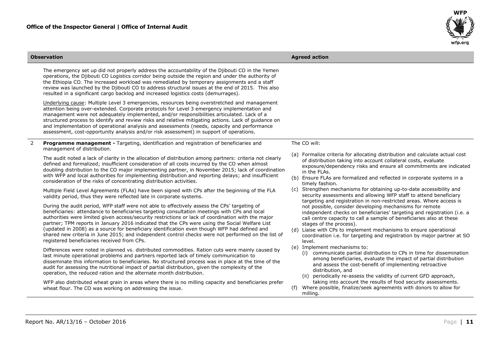

| <b>Observation</b> |                                                                                                                                                                                                                                                                                                                                                                                                                                                                                                                                                                                                                                                                                                                                                                                                                                                                                                                                                                                                                                                                                                                                                                                                                                                                                                                                                                                                                                                                                            |     | <b>Agreed action</b>                                                                                                                                                                                                                                                                                                                                                                                                                                                                                                                                                                                                                                                                                                                                                                                                                                                                                                                                                                                                                                                                                    |  |  |
|--------------------|--------------------------------------------------------------------------------------------------------------------------------------------------------------------------------------------------------------------------------------------------------------------------------------------------------------------------------------------------------------------------------------------------------------------------------------------------------------------------------------------------------------------------------------------------------------------------------------------------------------------------------------------------------------------------------------------------------------------------------------------------------------------------------------------------------------------------------------------------------------------------------------------------------------------------------------------------------------------------------------------------------------------------------------------------------------------------------------------------------------------------------------------------------------------------------------------------------------------------------------------------------------------------------------------------------------------------------------------------------------------------------------------------------------------------------------------------------------------------------------------|-----|---------------------------------------------------------------------------------------------------------------------------------------------------------------------------------------------------------------------------------------------------------------------------------------------------------------------------------------------------------------------------------------------------------------------------------------------------------------------------------------------------------------------------------------------------------------------------------------------------------------------------------------------------------------------------------------------------------------------------------------------------------------------------------------------------------------------------------------------------------------------------------------------------------------------------------------------------------------------------------------------------------------------------------------------------------------------------------------------------------|--|--|
|                    | The emergency set up did not properly address the accountability of the Djibouti CO in the Yemen<br>operations, the Djibouti CO Logistics corridor being outside the region and under the authority of<br>the Ethiopia CO. The increased workload was remediated by temporary assignments and a staff<br>review was launched by the Djibouti CO to address structural issues at the end of 2015. This also<br>resulted in a significant cargo backlog and increased logistics costs (demurrages).                                                                                                                                                                                                                                                                                                                                                                                                                                                                                                                                                                                                                                                                                                                                                                                                                                                                                                                                                                                          |     |                                                                                                                                                                                                                                                                                                                                                                                                                                                                                                                                                                                                                                                                                                                                                                                                                                                                                                                                                                                                                                                                                                         |  |  |
|                    | Underlying cause: Multiple Level 3 emergencies, resources being overstretched and management<br>attention being over-extended. Corporate protocols for Level 3 emergency implementation and<br>management were not adequately implemented, and/or responsibilities articulated. Lack of a<br>structured process to identify and review risks and relative mitigating actions. Lack of guidance on<br>and implementation of operational analysis and assessments (needs, capacity and performance<br>assessment, cost-opportunity analysis and/or risk assessment) in support of operations.                                                                                                                                                                                                                                                                                                                                                                                                                                                                                                                                                                                                                                                                                                                                                                                                                                                                                                |     |                                                                                                                                                                                                                                                                                                                                                                                                                                                                                                                                                                                                                                                                                                                                                                                                                                                                                                                                                                                                                                                                                                         |  |  |
| 2                  | <b>Programme management - Targeting, identification and registration of beneficiaries and</b><br>management of distribution.                                                                                                                                                                                                                                                                                                                                                                                                                                                                                                                                                                                                                                                                                                                                                                                                                                                                                                                                                                                                                                                                                                                                                                                                                                                                                                                                                               |     | The CO will:                                                                                                                                                                                                                                                                                                                                                                                                                                                                                                                                                                                                                                                                                                                                                                                                                                                                                                                                                                                                                                                                                            |  |  |
|                    | The audit noted a lack of clarity in the allocation of distribution among partners: criteria not clearly<br>defined and formalized; insufficient consideration of all costs incurred by the CO when almost<br>doubling distribution to the CO major implementing partner, in November 2015; lack of coordination<br>with WFP and local authorities for implementing distribution and reporting delays; and insufficient<br>consideration of the risks of concentrating distribution activities.                                                                                                                                                                                                                                                                                                                                                                                                                                                                                                                                                                                                                                                                                                                                                                                                                                                                                                                                                                                            |     | (a) Formalize criteria for allocating distribution and calculate actual cost<br>of distribution taking into account collateral costs, evaluate<br>exposure/dependency risks and ensure all commitments are indicated<br>in the FLAs.<br>(b) Ensure FLAs are formalized and reflected in corporate systems in a<br>timely fashion.                                                                                                                                                                                                                                                                                                                                                                                                                                                                                                                                                                                                                                                                                                                                                                       |  |  |
|                    | Multiple Field Level Agreements (FLAs) have been signed with CPs after the beginning of the FLA<br>validity period, thus they were reflected late in corporate systems.<br>During the audit period, WFP staff were not able to effectively assess the CPs' targeting of<br>beneficiaries: attendance to beneficiaries targeting consultation meetings with CPs and local<br>authorities were limited given access/security restrictions or lack of coordination with the major<br>partner; TPM reports in January 2016 indicated that the CPs were using the Social Welfare List<br>(updated in 2008) as a source for beneficiary identification even though WFP had defined and<br>shared new criteria in June 2015; and independent control checks were not performed on the list of<br>registered beneficiaries received from CPs.<br>Differences were noted in planned vs. distributed commodities. Ration cuts were mainly caused by<br>last minute operational problems and partners reported lack of timely communication to<br>disseminate this information to beneficiaries. No structured process was in place at the time of the<br>audit for assessing the nutritional impact of partial distribution, given the complexity of the<br>operation, the reduced ration and the alternate month distribution.<br>WFP also distributed wheat grain in areas where there is no milling capacity and beneficiaries prefer<br>wheat flour. The CO was working on addressing the issue. | (f) | (c) Strengthen mechanisms for obtaining up-to-date accessibility and<br>security assessments and allowing WFP staff to attend beneficiary<br>targeting and registration in non-restricted areas. Where access is<br>not possible, consider developing mechanisms for remote<br>independent checks on beneficiaries' targeting and registration (i.e. a<br>call centre capacity to call a sample of beneficiaries also at these<br>stages of the process).<br>(d) Liaise with CPs to implement mechanisms to ensure operational<br>coordination i.e. for targeting and registration by major partner at SO<br>level.<br>(e) Implement mechanisms to:<br>(i) communicate partial distribution to CPs in time for dissemination<br>among beneficiaries, evaluate the impact of partial distribution<br>and assess the cost-benefit of implementing retroactive<br>distribution, and<br>(ii) periodically re-assess the validity of current GFD approach,<br>taking into account the results of food security assessments.<br>Where possible, finalize/seek agreements with donors to allow for<br>milling. |  |  |

 $\overline{a}$ 

J.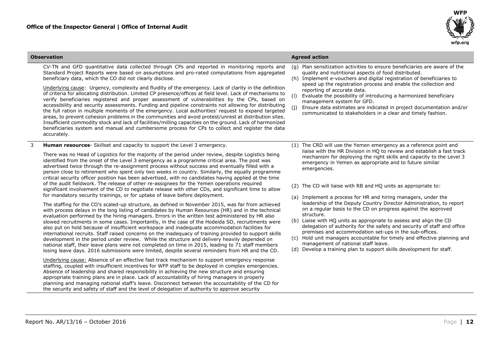

| <b>Observation</b>                                                                                                                                                                                                                                                                                                                                                                                                                                                                                                                                                                                                                                                                                                                                                                                                                                                                                                                                                                                                                                                                                                                                                                                                                                                                                                                                                                                                                                                                                                                                                                                                                                                                                                                                                                                                                                                                                                                                                                                                                                                                                                                                                                                                                                                                                                                                                                                                                                      | <b>Agreed action</b>                                                                                                                                                                                                                                                                                                                                                                                                                                                                                                                                                                                                                                                                                                                                                                                                                                                                                                                                                                          |  |  |  |
|---------------------------------------------------------------------------------------------------------------------------------------------------------------------------------------------------------------------------------------------------------------------------------------------------------------------------------------------------------------------------------------------------------------------------------------------------------------------------------------------------------------------------------------------------------------------------------------------------------------------------------------------------------------------------------------------------------------------------------------------------------------------------------------------------------------------------------------------------------------------------------------------------------------------------------------------------------------------------------------------------------------------------------------------------------------------------------------------------------------------------------------------------------------------------------------------------------------------------------------------------------------------------------------------------------------------------------------------------------------------------------------------------------------------------------------------------------------------------------------------------------------------------------------------------------------------------------------------------------------------------------------------------------------------------------------------------------------------------------------------------------------------------------------------------------------------------------------------------------------------------------------------------------------------------------------------------------------------------------------------------------------------------------------------------------------------------------------------------------------------------------------------------------------------------------------------------------------------------------------------------------------------------------------------------------------------------------------------------------------------------------------------------------------------------------------------------------|-----------------------------------------------------------------------------------------------------------------------------------------------------------------------------------------------------------------------------------------------------------------------------------------------------------------------------------------------------------------------------------------------------------------------------------------------------------------------------------------------------------------------------------------------------------------------------------------------------------------------------------------------------------------------------------------------------------------------------------------------------------------------------------------------------------------------------------------------------------------------------------------------------------------------------------------------------------------------------------------------|--|--|--|
| CV-TN and GFD quantitative data collected through CPs and reported in monitoring reports and<br>Standard Project Reports were based on assumptions and pro-rated computations from aggregated<br>beneficiary data, which the CO did not clearly disclose.<br>Underlying cause: Urgency, complexity and fluidity of the emergency. Lack of clarity in the definition<br>of criteria for allocating distribution. Limited CP presence/offices at field level. Lack of mechanisms to<br>verify beneficiaries registered and proper assessment of vulnerabilities by the CPs, based on<br>accessibility and security assessments. Funding and pipeline constraints not allowing for distributing<br>the full ration in multiple moments of the emergency. Local authorities' request to expand targeted<br>areas, to prevent cohesion problems in the communities and avoid protest/unrest at distribution sites.<br>Insufficient commodity stock and lack of facilities/milling capacities on the ground. Lack of harmonized<br>beneficiaries system and manual and cumbersome process for CPs to collect and register the data<br>accurately.                                                                                                                                                                                                                                                                                                                                                                                                                                                                                                                                                                                                                                                                                                                                                                                                                                                                                                                                                                                                                                                                                                                                                                                                                                                                                                             | (q) Plan sensitization activities to ensure beneficiaries are aware of the<br>quality and nutritional aspects of food distributed.<br>(h) Implement e-vouchers and digital registration of beneficiaries to<br>speed up the registration process and enable the collection and<br>reporting of accurate data.<br>Evaluate the possibility of introducing a harmonized beneficiary<br>(i)<br>management system for GFD.<br>(i)<br>Ensure data estimates are indicated in project documentation and/or<br>communicated to stakeholders in a clear and timely fashion.                                                                                                                                                                                                                                                                                                                                                                                                                           |  |  |  |
| 3<br><b>Human resources</b> - Skillset and capacity to support the Level 3 emergency.<br>There was no Head of Logistics for the majority of the period under review, despite Logistics being<br>identified from the onset of the Level 3 emergency as a programme critical area. The post was<br>advertised twice through the re-assignment process without success and eventually filled with a<br>person close to retirement who spent only two weeks in country. Similarly, the equally programme<br>critical security officer position has been advertised, with no candidates having applied at the time<br>of the audit fieldwork. The release of other re-assignees for the Yemen operations reguired<br>significant involvement of the CD to negotiate release with other CDs, and significant time to allow<br>for mandatory security trainings, or for uptake of leave before deployment.<br>The staffing for the CO's scaled-up structure, as defined in November 2015, was far from achieved<br>with process delays in the long listing of candidates by Human Resources (HR) and in the technical<br>evaluation performed by the hiring managers. Errors in the written test administered by HR also<br>slowed recruitments in some cases. Importantly, in the case of the Hodeida SO, recruitments were<br>also put on hold because of insufficient workspace and inadequate accommodation facilities for<br>international recruits. Staff raised concerns on the inadequacy of training provided to support skills<br>development in the period under review. While the structure and delivery heavily depended on<br>national staff, their leave plans were not completed on time in 2015, leading to 71 staff members<br>losing leave days. 2016 submissions were limited, despite several reminders from HR and the CD.<br>Underlying cause: Absence of an effective fast track mechanism to support emergency response<br>staffing, coupled with insufficient incentives for WFP staff to be deployed in complex emergencies.<br>Absence of leadership and shared responsibility in achieving the new structure and ensuring<br>appropriate training plans are in place. Lack of accountability of hiring managers in properly<br>planning and managing national staff's leave. Disconnect between the accountability of the CD for<br>the security and safety of staff and the level of delegation of authority to approve security | (1) The CRD will use the Yemen emergency as a reference point and<br>liaise with the HR Division in HQ to review and establish a fast track<br>mechanism for deploying the right skills and capacity to the Level 3<br>emergency in Yemen as appropriate and to future similar<br>emergencies.<br>(2) The CO will liaise with RB and HQ units as appropriate to:<br>(a) Implement a process for HR and hiring managers, under the<br>leadership of the Deputy Country Director Administration, to report<br>on a regular basis to the CD on progress against the approved<br>structure.<br>(b) Liaise with HQ units as appropriate to assess and align the CD<br>delegation of authority for the safety and security of staff and office<br>premises and accommodation set-ups in the sub-offices.<br>(c) Hold unit managers accountable for timely and effective planning and<br>management of national staff leave.<br>(d) Develop a training plan to support skills development for staff. |  |  |  |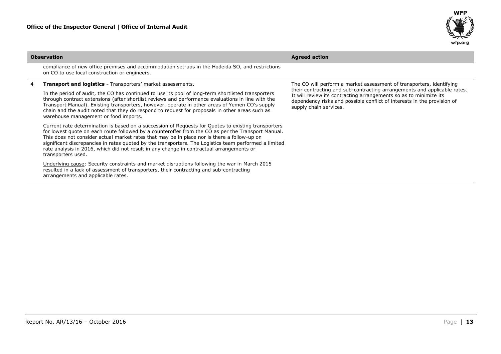

| <b>Observation</b> |                                                                                                                                                                                                                                                                                                                                                                                                                                                                                                                                                                                                                                                                                                                                                                                                                                                                                                                                                                                                                                                                                                                                                                                                                                                                                                     | <b>Agreed action</b>                                                                                                                                                                                                                                                                                                       |  |  |
|--------------------|-----------------------------------------------------------------------------------------------------------------------------------------------------------------------------------------------------------------------------------------------------------------------------------------------------------------------------------------------------------------------------------------------------------------------------------------------------------------------------------------------------------------------------------------------------------------------------------------------------------------------------------------------------------------------------------------------------------------------------------------------------------------------------------------------------------------------------------------------------------------------------------------------------------------------------------------------------------------------------------------------------------------------------------------------------------------------------------------------------------------------------------------------------------------------------------------------------------------------------------------------------------------------------------------------------|----------------------------------------------------------------------------------------------------------------------------------------------------------------------------------------------------------------------------------------------------------------------------------------------------------------------------|--|--|
|                    | compliance of new office premises and accommodation set-ups in the Hodeida SO, and restrictions<br>on CO to use local construction or engineers.                                                                                                                                                                                                                                                                                                                                                                                                                                                                                                                                                                                                                                                                                                                                                                                                                                                                                                                                                                                                                                                                                                                                                    |                                                                                                                                                                                                                                                                                                                            |  |  |
|                    | <b>Transport and logistics - Transporters' market assessments.</b><br>In the period of audit, the CO has continued to use its pool of long-term shortlisted transporters<br>through contract extensions (after shortlist reviews and performance evaluations in line with the<br>Transport Manual). Existing transporters, however, operate in other areas of Yemen CO's supply<br>chain and the audit noted that they do respond to request for proposals in other areas such as<br>warehouse management or food imports.<br>Current rate determination is based on a succession of Requests for Quotes to existing transporters<br>for lowest quote on each route followed by a counteroffer from the CO as per the Transport Manual.<br>This does not consider actual market rates that may be in place nor is there a follow-up on<br>significant discrepancies in rates quoted by the transporters. The Logistics team performed a limited<br>rate analysis in 2016, which did not result in any change in contractual arrangements or<br>transporters used.<br>Underlying cause: Security constraints and market disruptions following the war in March 2015<br>resulted in a lack of assessment of transporters, their contracting and sub-contracting<br>arrangements and applicable rates. | The CO will perform a market assessment of transporters, identifying<br>their contracting and sub-contracting arrangements and applicable rates.<br>It will review its contracting arrangements so as to minimize its<br>dependency risks and possible conflict of interests in the provision of<br>supply chain services. |  |  |
|                    |                                                                                                                                                                                                                                                                                                                                                                                                                                                                                                                                                                                                                                                                                                                                                                                                                                                                                                                                                                                                                                                                                                                                                                                                                                                                                                     |                                                                                                                                                                                                                                                                                                                            |  |  |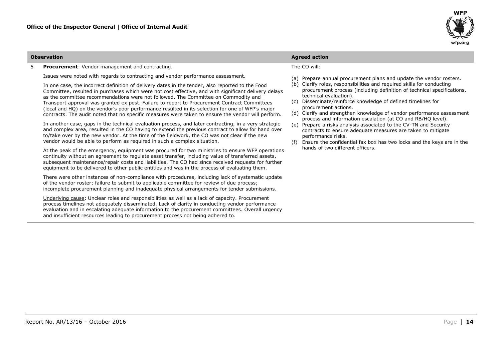

#### 5 **Procurement**: Vendor management and contracting.

Issues were noted with regards to contracting and vendor performance assessment.

In one case, the incorrect definition of delivery dates in the tender, also reported to the Food Committee, resulted in purchases which were not cost effective, and with significant delivery delays as the committee recommendations were not followed. The Committee on Commodity and Transport approval was granted ex post. Failure to report to Procurement Contract Committees (local and HQ) on the vendor's poor performance resulted in its selection for one of WFP's major contracts. The audit noted that no specific measures were taken to ensure the vendor will perform.

In another case, gaps in the technical evaluation process, and later contracting, in a very strategic and complex area, resulted in the CO having to extend the previous contract to allow for hand over to/take over by the new vendor. At the time of the fieldwork, the CO was not clear if the new vendor would be able to perform as required in such a complex situation.

At the peak of the emergency, equipment was procured for two ministries to ensure WFP operations continuity without an agreement to regulate asset transfer, including value of transferred assets, subsequent maintenance/repair costs and liabilities. The CO had since received requests for further equipment to be delivered to other public entities and was in the process of evaluating them.

There were other instances of non-compliance with procedures, including lack of systematic update of the vendor roster; failure to submit to applicable committee for review of due process; incomplete procurement planning and inadequate physical arrangements for tender submissions.

Underlying cause: Unclear roles and responsibilities as well as a lack of capacity. Procurement process timelines not adequately disseminated. Lack of clarity in conducting vendor performance evaluation and in escalating adequate information to the procurement committees. Overall urgency and insufficient resources leading to procurement process not being adhered to.

**Report No. AR/13/16 – October 2016 14** 

The CO will:

- (a) Prepare annual procurement plans and update the vendor rosters.
- (b) Clarify roles, responsibilities and required skills for conducting procurement process (including definition of technical specifications, technical evaluation).
- (c) Disseminate/reinforce knowledge of defined timelines for procurement actions.
- (d) Clarify and strengthen knowledge of vendor performance assessment process and information escalation (at CO and RB/HQ level).
- (e) Prepare a risks analysis associated to the CV-TN and Security contracts to ensure adequate measures are taken to mitigate performance risks.
- (f) Ensure the confidential fax box has two locks and the keys are in the hands of two different officers.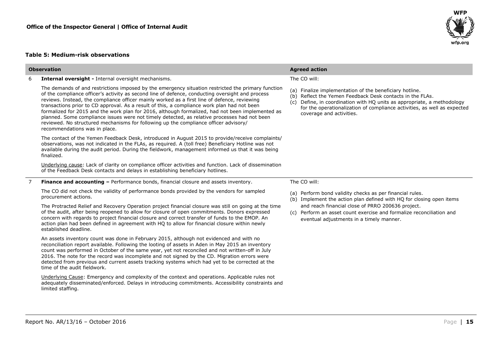#### **Table 5: Medium-risk observations**

| <b>Observation</b> |                                                                                                                                                                                                                                                                                                                                                                                                                                                                                                                                                                                                                                                                                                                                    | <b>Agreed action</b>                                                                                                                                                                                                                                                                                       |  |  |  |
|--------------------|------------------------------------------------------------------------------------------------------------------------------------------------------------------------------------------------------------------------------------------------------------------------------------------------------------------------------------------------------------------------------------------------------------------------------------------------------------------------------------------------------------------------------------------------------------------------------------------------------------------------------------------------------------------------------------------------------------------------------------|------------------------------------------------------------------------------------------------------------------------------------------------------------------------------------------------------------------------------------------------------------------------------------------------------------|--|--|--|
| 6                  | Internal oversight - Internal oversight mechanisms.                                                                                                                                                                                                                                                                                                                                                                                                                                                                                                                                                                                                                                                                                | The CO will:                                                                                                                                                                                                                                                                                               |  |  |  |
|                    | The demands of and restrictions imposed by the emergency situation restricted the primary function<br>of the compliance officer's activity as second line of defence, conducting oversight and process<br>reviews. Instead, the compliance officer mainly worked as a first line of defence, reviewing<br>transactions prior to CD approval. As a result of this, a compliance work plan had not been<br>formalized for 2015 and the work plan for 2016, although formalized, had not been implemented as<br>planned. Some compliance issues were not timely detected, as relative processes had not been<br>reviewed. No structured mechanisms for following up the compliance officer advisory/<br>recommendations was in place. | (a) Finalize implementation of the beneficiary hotline.<br>(b) Reflect the Yemen Feedback Desk contacts in the FLAs.<br>Define, in coordination with HQ units as appropriate, a methodology<br>(c)<br>for the operationalization of compliance activities, as well as expected<br>coverage and activities. |  |  |  |
|                    | The contact of the Yemen Feedback Desk, introduced in August 2015 to provide/receive complaints/<br>observations, was not indicated in the FLAs, as required. A (toll free) Beneficiary Hotline was not<br>available during the audit period. During the fieldwork, management informed us that it was being<br>finalized.                                                                                                                                                                                                                                                                                                                                                                                                         |                                                                                                                                                                                                                                                                                                            |  |  |  |
|                    | Underlying cause: Lack of clarity on compliance officer activities and function. Lack of dissemination<br>of the Feedback Desk contacts and delays in establishing beneficiary hotlines.                                                                                                                                                                                                                                                                                                                                                                                                                                                                                                                                           |                                                                                                                                                                                                                                                                                                            |  |  |  |
|                    | <b>Finance and accounting - Performance bonds, financial closure and assets inventory.</b>                                                                                                                                                                                                                                                                                                                                                                                                                                                                                                                                                                                                                                         | The CO will:                                                                                                                                                                                                                                                                                               |  |  |  |
|                    | The CO did not check the validity of performance bonds provided by the vendors for sampled<br>procurement actions.                                                                                                                                                                                                                                                                                                                                                                                                                                                                                                                                                                                                                 | (a) Perform bond validity checks as per financial rules.<br>(b) Implement the action plan defined with HQ for closing open items                                                                                                                                                                           |  |  |  |
|                    | The Protracted Relief and Recovery Operation project financial closure was still on going at the time<br>of the audit, after being reopened to allow for closure of open commitments. Donors expressed<br>concern with regards to project financial closure and correct transfer of funds to the EMOP. An<br>action plan had been defined in agreement with HQ to allow for financial closure within newly<br>established deadline.                                                                                                                                                                                                                                                                                                | and reach financial close of PRRO 200636 project.<br>Perform an asset count exercise and formalize reconciliation and<br>(c)<br>eventual adjustments in a timely manner.                                                                                                                                   |  |  |  |
|                    | An assets inventory count was done in February 2015, although not evidenced and with no<br>reconciliation report available. Following the looting of assets in Aden in May 2015 an inventory<br>count was performed in October of the same year, yet not reconciled and not written-off in July<br>2016. The note for the record was incomplete and not signed by the CD. Migration errors were<br>detected from previous and current assets tracking systems which had yet to be corrected at the<br>time of the audit fieldwork.                                                                                                                                                                                                 |                                                                                                                                                                                                                                                                                                            |  |  |  |
|                    | Underlying Cause: Emergency and complexity of the context and operations. Applicable rules not<br>adequately disseminated/enforced. Delays in introducing commitments. Accessibility constraints and<br>limited staffing.                                                                                                                                                                                                                                                                                                                                                                                                                                                                                                          |                                                                                                                                                                                                                                                                                                            |  |  |  |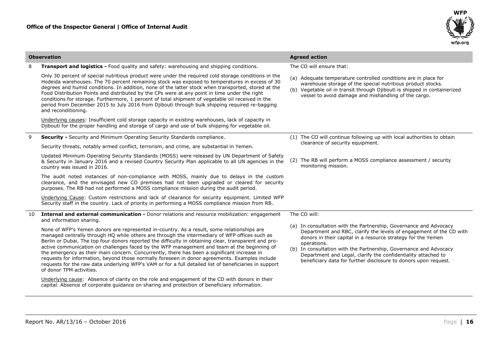

|    | <b>Observation</b>                                                                                                                                                                                                                                                                                                                                                                                                                                                                                                                                                                                                                                                                                                                         | <b>Agreed action</b>                                                                                                                                                                                                                                                                                                                                                                                                             |  |  |  |
|----|--------------------------------------------------------------------------------------------------------------------------------------------------------------------------------------------------------------------------------------------------------------------------------------------------------------------------------------------------------------------------------------------------------------------------------------------------------------------------------------------------------------------------------------------------------------------------------------------------------------------------------------------------------------------------------------------------------------------------------------------|----------------------------------------------------------------------------------------------------------------------------------------------------------------------------------------------------------------------------------------------------------------------------------------------------------------------------------------------------------------------------------------------------------------------------------|--|--|--|
| 8  | <b>Transport and logistics - Food quality and safety: warehousing and shipping conditions.</b>                                                                                                                                                                                                                                                                                                                                                                                                                                                                                                                                                                                                                                             | The CO will ensure that:                                                                                                                                                                                                                                                                                                                                                                                                         |  |  |  |
|    | Only 30 percent of special nutritious product were under the required cold storage conditions in the<br>Hodeida warehouses. The 70 percent remaining stock was exposed to temperatures in excess of 30<br>degrees and humid conditions. In addition, none of the latter stock when transported, stored at the<br>Food Distribution Points and distributed by the CPs were at any point in time under the right<br>conditions for storage. Furthermore, 1 percent of total shipment of vegetable oil received in the<br>period from December 2015 to July 2016 from Djibouti through bulk shipping required re-bagging<br>and reconditioning.                                                                                               | (a) Adequate temperature controlled conditions are in place for<br>warehouse storage of the special nutritious product stocks.<br>(b) Vegetable oil in transit through Djibouti is shipped in containerized<br>vessel to avoid damage and mishandling of the cargo.                                                                                                                                                              |  |  |  |
|    | Underlying causes: Insufficient cold storage capacity in existing warehouses, lack of capacity in<br>Diibouti for the proper handling and storage of cargo and use of bulk shipping for vegetable oil.                                                                                                                                                                                                                                                                                                                                                                                                                                                                                                                                     |                                                                                                                                                                                                                                                                                                                                                                                                                                  |  |  |  |
| 9  | <b>Security - Security and Minimum Operating Security Standards compliance.</b>                                                                                                                                                                                                                                                                                                                                                                                                                                                                                                                                                                                                                                                            | (1) The CO will continue following up with local authorities to obtain                                                                                                                                                                                                                                                                                                                                                           |  |  |  |
|    | Security threats, notably armed conflict, terrorism, and crime, are substantial in Yemen.                                                                                                                                                                                                                                                                                                                                                                                                                                                                                                                                                                                                                                                  | clearance of security equipment.                                                                                                                                                                                                                                                                                                                                                                                                 |  |  |  |
|    | Updated Minimum Operating Security Standards (MOSS) were released by UN Department of Safety<br>& Security in January 2016 and a revised Country Security Plan applicable to all UN agencies in the<br>country was issued in 2016.                                                                                                                                                                                                                                                                                                                                                                                                                                                                                                         | (2) The RB will perform a MOSS compliance assessment / security<br>monitoring mission.                                                                                                                                                                                                                                                                                                                                           |  |  |  |
|    | The audit noted instances of non-compliance with MOSS, mainly due to delays in the custom<br>clearance, and the envisaged new CO premises had not been upgraded or cleared for security<br>purposes. The RB had not performed a MOSS compliance mission during the audit period.                                                                                                                                                                                                                                                                                                                                                                                                                                                           |                                                                                                                                                                                                                                                                                                                                                                                                                                  |  |  |  |
|    | Underlying Cause: Custom restrictions and lack of clearance for security equipment. Limited WFP<br>Security staff in the country. Lack of priority in performing a MOSS compliance mission from RB.                                                                                                                                                                                                                                                                                                                                                                                                                                                                                                                                        |                                                                                                                                                                                                                                                                                                                                                                                                                                  |  |  |  |
| 10 | Internal and external communication - Donor relations and resource mobilization: engagement<br>and information sharing.                                                                                                                                                                                                                                                                                                                                                                                                                                                                                                                                                                                                                    | The CO will:                                                                                                                                                                                                                                                                                                                                                                                                                     |  |  |  |
|    | None of WFP's Yemen donors are represented in-country. As a result, some relationships are<br>managed centrally through HQ while others are through the intermediary of WFP offices such as<br>Berlin or Dubai. The top four donors reported the difficulty in obtaining clear, transparent and pro-<br>active communication on challenges faced by the WFP management and team at the beginning of<br>the emergency as their main concern. Concurrently, there has been a significant increase in<br>requests for information, beyond those normally foreseen in donor agreements. Examples include<br>requests for the raw data underlying WFP's VAM or for a full detailed list of beneficiaries in support<br>of donor TPM activities. | (a) In consultation with the Partnership, Governance and Advocacy<br>Department and RBC, clarify the levels of engagement of the CD with<br>donors in their capital in a resource strategy for the Yemen<br>operations.<br>(b) In consultation with the Partnership, Governance and Advocacy<br>Department and Legal, clarify the confidentiality attached to<br>beneficiary data for further disclosure to donors upon request. |  |  |  |
|    | Underlying cause: Absence of clarity on the role and engagement of the CD with donors in their<br>capital. Absence of corporate quidance on sharing and protection of beneficiary information.                                                                                                                                                                                                                                                                                                                                                                                                                                                                                                                                             |                                                                                                                                                                                                                                                                                                                                                                                                                                  |  |  |  |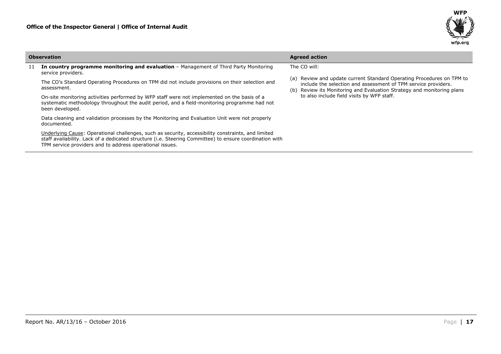

|  | <b>Observation</b>                                                                                                                                                                                                                                                        | <b>Agreed action</b>                                                                                                                                                                                                    |  |  |  |
|--|---------------------------------------------------------------------------------------------------------------------------------------------------------------------------------------------------------------------------------------------------------------------------|-------------------------------------------------------------------------------------------------------------------------------------------------------------------------------------------------------------------------|--|--|--|
|  | <b>In country programme monitoring and evaluation</b> - Management of Third Party Monitoring<br>service providers.                                                                                                                                                        | The CO will:                                                                                                                                                                                                            |  |  |  |
|  | The CO's Standard Operating Procedures on TPM did not include provisions on their selection and<br>assessment.                                                                                                                                                            | Review and update current Standard Operating Procedures on TPM to<br>(a)<br>include the selection and assessment of TPM service providers.<br>Review its Monitoring and Evaluation Strategy and monitoring plans<br>(b) |  |  |  |
|  | On-site monitoring activities performed by WFP staff were not implemented on the basis of a<br>systematic methodology throughout the audit period, and a field-monitoring programme had not<br>been developed.                                                            | to also include field visits by WFP staff.                                                                                                                                                                              |  |  |  |
|  | Data cleaning and validation processes by the Monitoring and Evaluation Unit were not properly<br>documented.                                                                                                                                                             |                                                                                                                                                                                                                         |  |  |  |
|  | Underlying Cause: Operational challenges, such as security, accessibility constraints, and limited<br>staff availability. Lack of a dedicated structure (i.e. Steering Committee) to ensure coordination with<br>TPM service providers and to address operational issues. |                                                                                                                                                                                                                         |  |  |  |

ц.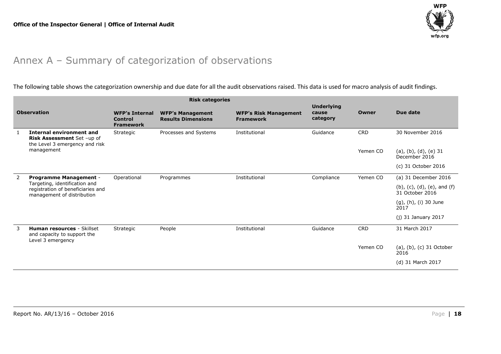

## Annex A – Summary of categorization of observations

The following table shows the categorization ownership and due date for all the audit observations raised. This data is used for macro analysis of audit findings.

<span id="page-17-0"></span>

| <b>Risk categories</b> |                                                                                                  |                                                      |                                                      |                                                  |                                        |            |                                                              |
|------------------------|--------------------------------------------------------------------------------------------------|------------------------------------------------------|------------------------------------------------------|--------------------------------------------------|----------------------------------------|------------|--------------------------------------------------------------|
| <b>Observation</b>     |                                                                                                  | <b>WFP's Internal</b><br>Control<br><b>Framework</b> | <b>WFP's Management</b><br><b>Results Dimensions</b> | <b>WFP's Risk Management</b><br><b>Framework</b> | <b>Underlying</b><br>cause<br>category | Owner      | Due date                                                     |
|                        | Internal environment and<br>Risk Assessment Set -up of<br>the Level 3 emergency and risk         | Strategic                                            | Processes and Systems                                | Institutional                                    | Guidance                               | <b>CRD</b> | 30 November 2016                                             |
|                        | management                                                                                       |                                                      |                                                      |                                                  |                                        | Yemen CO   | $(a)$ , $(b)$ , $(d)$ , $(e)$ 31<br>December 2016            |
|                        |                                                                                                  |                                                      |                                                      |                                                  |                                        |            | (c) 31 October 2016                                          |
| 2                      | <b>Programme Management -</b>                                                                    | Operational                                          | Programmes                                           | Institutional                                    | Compliance                             | Yemen CO   | (a) 31 December 2016                                         |
|                        | Targeting, identification and<br>registration of beneficiaries and<br>management of distribution |                                                      |                                                      |                                                  |                                        |            | $(b)$ , $(c)$ , $(d)$ , $(e)$ , and $(f)$<br>31 October 2016 |
|                        |                                                                                                  |                                                      |                                                      |                                                  |                                        |            | (g), (h), (i) 30 June<br>2017                                |
|                        |                                                                                                  |                                                      |                                                      |                                                  |                                        |            | $(j)$ 31 January 2017                                        |
| 3                      | <b>Human resources - Skillset</b><br>and capacity to support the<br>Level 3 emergency            | Strategic                                            | People                                               | Institutional                                    | Guidance                               | <b>CRD</b> | 31 March 2017                                                |
|                        |                                                                                                  |                                                      |                                                      |                                                  |                                        | Yemen CO   | (a), (b), (c) 31 October<br>2016                             |
|                        |                                                                                                  |                                                      |                                                      |                                                  |                                        |            | (d) 31 March 2017                                            |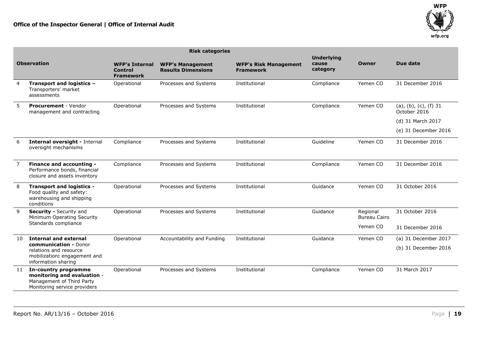

|                    | <b>Risk categories</b>                                                                                           |                                                      |                                                      |                                                  |                                        |                                 |                                         |
|--------------------|------------------------------------------------------------------------------------------------------------------|------------------------------------------------------|------------------------------------------------------|--------------------------------------------------|----------------------------------------|---------------------------------|-----------------------------------------|
| <b>Observation</b> |                                                                                                                  | <b>WFP's Internal</b><br>Control<br><b>Framework</b> | <b>WFP's Management</b><br><b>Results Dimensions</b> | <b>WFP's Risk Management</b><br><b>Framework</b> | <b>Underlying</b><br>cause<br>category | Owner                           | Due date                                |
| $\overline{4}$     | Transport and logistics -<br>Transporters' market<br>assessments                                                 | Operational                                          | Processes and Systems                                | Institutional                                    | Compliance                             | Yemen CO                        | 31 December 2016                        |
| 5                  | <b>Procurement - Vendor</b><br>management and contracting                                                        | Operational                                          | Processes and Systems                                | Institutional                                    | Compliance                             | Yemen CO                        | $(a), (b), (c), (f)$ 31<br>October 2016 |
|                    |                                                                                                                  |                                                      |                                                      |                                                  |                                        |                                 | (d) 31 March 2017                       |
|                    |                                                                                                                  |                                                      |                                                      |                                                  |                                        |                                 | (e) 31 December 2016                    |
| 6                  | Internal oversight - Internal<br>oversight mechanisms                                                            | Compliance                                           | Processes and Systems                                | Institutional                                    | Guideline                              | Yemen CO                        | 31 December 2016                        |
| 7                  | Finance and accounting -<br>Performance bonds, financial<br>closure and assets inventory                         | Compliance                                           | Processes and Systems                                | Institutional                                    | Compliance                             | Yemen CO                        | 31 December 2016                        |
| 8                  | <b>Transport and logistics -</b><br>Food quality and safety:<br>warehousing and shipping<br>conditions           | Operational                                          | Processes and Systems                                | Institutional                                    | Guidance                               | Yemen CO                        | 31 October 2016                         |
| 9                  | Security - Security and<br>Minimum Operating Security                                                            | Operational                                          | Processes and Systems                                | Institutional                                    | Guidance                               | Regional<br><b>Bureau Cairo</b> | 31 October 2016                         |
|                    | Standards compliance                                                                                             |                                                      |                                                      |                                                  |                                        | Yemen CO                        | 31 December 2016                        |
| 10                 | <b>Internal and external</b>                                                                                     | Operational                                          | Accountability and Funding                           | Institutional                                    | Guidance                               | Yemen CO                        | (a) 31 December 2017                    |
|                    | communication - Donor<br>relations and resource<br>mobilization: engagement and<br>information sharing           |                                                      |                                                      |                                                  |                                        |                                 | (b) 31 December 2016                    |
| 11                 | In-country programme<br>monitoring and evaluation -<br>Management of Third Party<br>Monitoring service providers | Operational                                          | Processes and Systems                                | Institutional                                    | Compliance                             | Yemen CO                        | 31 March 2017                           |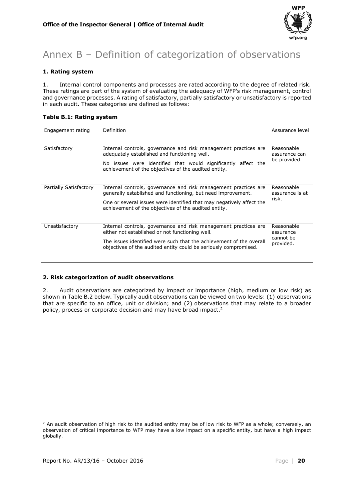

## <span id="page-19-0"></span>Annex B – Definition of categorization of observations

#### **1. Rating system**

1. Internal control components and processes are rated according to the degree of related risk. These ratings are part of the system of evaluating the adequacy of WFP's risk management, control and governance processes. A rating of satisfactory, partially satisfactory or unsatisfactory is reported in each audit. These categories are defined as follows:

### **Table B.1: Rating system**

| Engagement rating      | Definition                                                                                                                                                                                                                                                      | Assurance level                                   |
|------------------------|-----------------------------------------------------------------------------------------------------------------------------------------------------------------------------------------------------------------------------------------------------------------|---------------------------------------------------|
| Satisfactory           | Internal controls, governance and risk management practices are<br>adequately established and functioning well.<br>No issues were identified that would significantly affect the<br>achievement of the objectives of the audited entity.                        | Reasonable<br>assurance can<br>be provided.       |
| Partially Satisfactory | Internal controls, governance and risk management practices are<br>generally established and functioning, but need improvement.<br>One or several issues were identified that may negatively affect the<br>achievement of the objectives of the audited entity. | Reasonable<br>assurance is at<br>risk.            |
| Unsatisfactory         | Internal controls, governance and risk management practices are<br>either not established or not functioning well.<br>The issues identified were such that the achievement of the overall<br>objectives of the audited entity could be seriously compromised.   | Reasonable<br>assurance<br>cannot be<br>provided. |

#### **2. Risk categorization of audit observations**

2. Audit observations are categorized by impact or importance (high, medium or low risk) as shown in Table B.2 below. Typically audit observations can be viewed on two levels: (1) observations that are specific to an office, unit or division; and (2) observations that may relate to a broader policy, process or corporate decision and may have broad impact.<sup>2</sup>

**<sup>.</sup>**  $2$  An audit observation of high risk to the audited entity may be of low risk to WFP as a whole; conversely, an observation of critical importance to WFP may have a low impact on a specific entity, but have a high impact globally.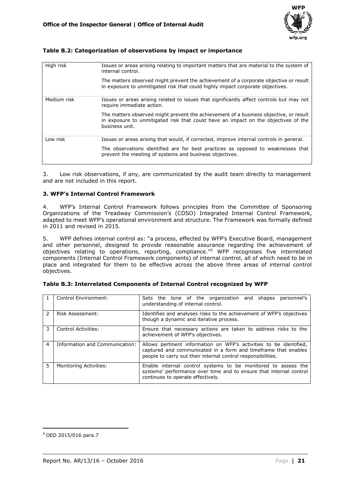

#### **Table B.2: Categorization of observations by impact or importance**

| High risk   | Issues or areas arising relating to important matters that are material to the system of<br>internal control.                                                                                 |
|-------------|-----------------------------------------------------------------------------------------------------------------------------------------------------------------------------------------------|
|             | The matters observed might prevent the achievement of a corporate objective or result<br>in exposure to unmitigated risk that could highly impact corporate objectives.                       |
| Medium risk | Issues or areas arising related to issues that significantly affect controls but may not<br>require immediate action.                                                                         |
|             | The matters observed might prevent the achievement of a business objective, or result<br>in exposure to unmitigated risk that could have an impact on the objectives of the<br>business unit. |
| Low risk    | Issues or areas arising that would, if corrected, improve internal controls in general.                                                                                                       |
|             | The observations identified are for best practices as opposed to weaknesses that<br>prevent the meeting of systems and business objectives.                                                   |

3. Low risk observations, if any, are communicated by the audit team directly to management and are not included in this report.

#### **3. WFP's Internal Control Framework**

4. WFP's Internal Control Framework follows principles from the Committee of Sponsoring Organizations of the Treadway Commission's (COSO) Integrated Internal Control Framework, adapted to meet WFP's operational environment and structure. The Framework was formally defined in 2011 and revised in 2015.

5. WFP defines internal control as: "a process, effected by WFP's Executive Board, management and other personnel, designed to provide reasonable assurance regarding the achievement of objectives relating to operations, reporting, compliance."<sup>3</sup> WFP recognises five interrelated components (Internal Control Framework components) of internal control, all of which need to be in place and integrated for them to be effective across the above three areas of internal control objectives.

|   | Control Environment:           | Sets the tone of the organization and shapes personnel's<br>understanding of internal control.                                                                                                       |
|---|--------------------------------|------------------------------------------------------------------------------------------------------------------------------------------------------------------------------------------------------|
|   | Risk Assessment:               | Identifies and analyses risks to the achievement of WFP's objectives<br>though a dynamic and iterative process.                                                                                      |
|   | Control Activities:            | Ensure that necessary actions are taken to address risks to the<br>achievement of WFP's objectives.                                                                                                  |
| 4 | Information and Communication: | Allows pertinent information on WFP's activities to be identified,<br>captured and communicated in a form and timeframe that enables<br>people to carry out their internal control responsibilities. |
| 5 | <b>Monitoring Activities:</b>  | Enable internal control systems to be monitored to assess the<br>systems' performance over time and to ensure that internal control<br>continues to operate effectively.                             |

| Table B.3: Interrelated Components of Internal Control recognized by WFP |  |  |  |
|--------------------------------------------------------------------------|--|--|--|

1

<sup>3</sup> OED 2015/016 para.7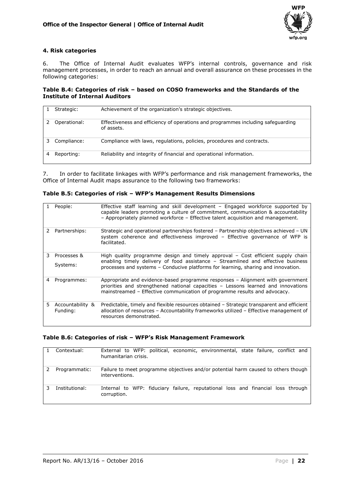

#### **4. Risk categories**

6. The Office of Internal Audit evaluates WFP's internal controls, governance and risk management processes, in order to reach an annual and overall assurance on these processes in the following categories:

#### **Table B.4: Categories of risk – based on COSO frameworks and the Standards of the Institute of Internal Auditors**

| Strategic:   | Achievement of the organization's strategic objectives.                                        |
|--------------|------------------------------------------------------------------------------------------------|
| Operational: | Effectiveness and efficiency of operations and programmes including safeguarding<br>of assets. |
| Compliance:  | Compliance with laws, regulations, policies, procedures and contracts.                         |
| Reporting:   | Reliability and integrity of financial and operational information.                            |

7. In order to facilitate linkages with WFP's performance and risk management frameworks, the Office of Internal Audit maps assurance to the following two frameworks:

|  | Table B.5: Categories of risk - WFP's Management Results Dimensions |
|--|---------------------------------------------------------------------|
|--|---------------------------------------------------------------------|

|    | People:                      | Effective staff learning and skill development - Engaged workforce supported by<br>capable leaders promoting a culture of commitment, communication & accountability<br>- Appropriately planned workforce - Effective talent acquisition and management. |
|----|------------------------------|----------------------------------------------------------------------------------------------------------------------------------------------------------------------------------------------------------------------------------------------------------|
|    | Partnerships:                | Strategic and operational partnerships fostered – Partnership objectives achieved – UN<br>system coherence and effectiveness improved - Effective governance of WFP is<br>facilitated.                                                                   |
| 3  | Processes &<br>Systems:      | High quality programme design and timely approval – Cost efficient supply chain<br>enabling timely delivery of food assistance - Streamlined and effective business<br>processes and systems - Conducive platforms for learning, sharing and innovation. |
| 4  | Programmes:                  | Appropriate and evidence-based programme responses - Alignment with government<br>priorities and strengthened national capacities - Lessons learned and innovations<br>mainstreamed - Effective communication of programme results and advocacy.         |
| 5. | Accountability &<br>Funding: | Predictable, timely and flexible resources obtained - Strategic transparent and efficient<br>allocation of resources - Accountability frameworks utilized - Effective management of<br>resources demonstrated.                                           |

#### **Table B.6: Categories of risk – WFP's Risk Management Framework**

| Contextual:    | External to WFP: political, economic, environmental, state failure, conflict and<br>humanitarian crisis. |
|----------------|----------------------------------------------------------------------------------------------------------|
| Programmatic:  | Failure to meet programme objectives and/or potential harm caused to others though<br>interventions.     |
| Institutional: | Internal to WFP: fiduciary failure, reputational loss and financial loss through<br>corruption.          |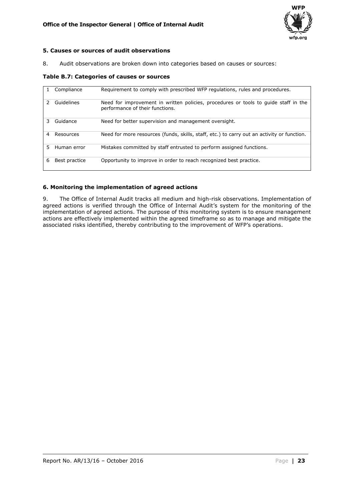

#### **5. Causes or sources of audit observations**

8. Audit observations are broken down into categories based on causes or sources:

#### **Table B.7: Categories of causes or sources**

|   | Compliance    | Requirement to comply with prescribed WFP regulations, rules and procedures.                                           |
|---|---------------|------------------------------------------------------------------------------------------------------------------------|
|   | Guidelines    | Need for improvement in written policies, procedures or tools to guide staff in the<br>performance of their functions. |
| 3 | Guidance      | Need for better supervision and management oversight.                                                                  |
| 4 | Resources     | Need for more resources (funds, skills, staff, etc.) to carry out an activity or function.                             |
| 5 | Human error   | Mistakes committed by staff entrusted to perform assigned functions.                                                   |
| 6 | Best practice | Opportunity to improve in order to reach recognized best practice.                                                     |

#### **6. Monitoring the implementation of agreed actions**

9. The Office of Internal Audit tracks all medium and high-risk observations. Implementation of agreed actions is verified through the Office of Internal Audit's system for the monitoring of the implementation of agreed actions. The purpose of this monitoring system is to ensure management actions are effectively implemented within the agreed timeframe so as to manage and mitigate the associated risks identified, thereby contributing to the improvement of WFP's operations.